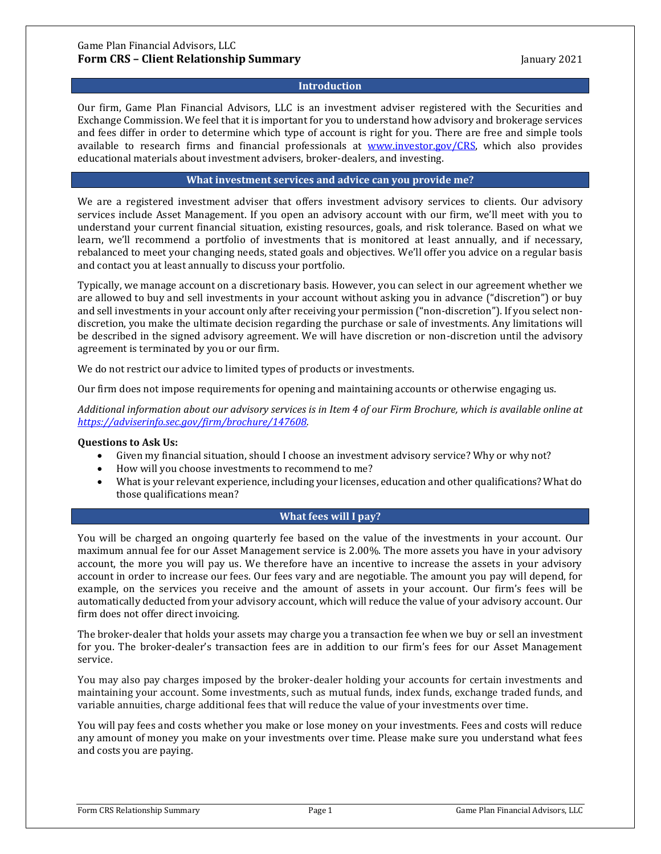### **Introduction**

Our firm, Game Plan Financial Advisors, LLC is an investment adviser registered with the Securities and Exchange Commission. We feel that it is important for you to understand how advisory and brokerage services and fees differ in order to determine which type of account is right for you. There are free and simple tools available to research firms and financial professionals at [www.investor.gov/CRS,](http://www.investor.gov/CRS) which also provides educational materials about investment advisers, broker-dealers, and investing.

### **What investment services and advice can you provide me?**

We are a registered investment adviser that offers investment advisory services to clients. Our advisory services include Asset Management. If you open an advisory account with our firm, we'll meet with you to understand your current financial situation, existing resources, goals, and risk tolerance. Based on what we learn, we'll recommend a portfolio of investments that is monitored at least annually, and if necessary, rebalanced to meet your changing needs, stated goals and objectives. We'll offer you advice on a regular basis and contact you at least annually to discuss your portfolio.

Typically, we manage account on a discretionary basis. However, you can select in our agreement whether we are allowed to buy and sell investments in your account without asking you in advance ("discretion") or buy and sell investments in your account only after receiving your permission ("non-discretion"). If you select nondiscretion, you make the ultimate decision regarding the purchase or sale of investments. Any limitations will be described in the signed advisory agreement. We will have discretion or non-discretion until the advisory agreement is terminated by you or our firm.

We do not restrict our advice to limited types of products or investments.

Our firm does not impose requirements for opening and maintaining accounts or otherwise engaging us.

*Additional information about our advisory services is in Item 4 of our Firm Brochure, which is available online at [https://adviserinfo.sec.gov/firm/brochure/147608.](https://adviserinfo.sec.gov/firm/brochure/147608)*

## **Questions to Ask Us:**

- Given my financial situation, should I choose an investment advisory service? Why or why not?
- How will you choose investments to recommend to me?
- What is your relevant experience, including your licenses, education and other qualifications? What do those qualifications mean?

## **What fees will I pay?**

You will be charged an ongoing quarterly fee based on the value of the investments in your account. Our maximum annual fee for our Asset Management service is 2.00%. The more assets you have in your advisory account, the more you will pay us. We therefore have an incentive to increase the assets in your advisory account in order to increase our fees. Our fees vary and are negotiable. The amount you pay will depend, for example, on the services you receive and the amount of assets in your account. Our firm's fees will be automatically deducted from your advisory account, which will reduce the value of your advisory account. Our firm does not offer direct invoicing.

The broker-dealer that holds your assets may charge you a transaction fee when we buy or sell an investment for you. The broker-dealer's transaction fees are in addition to our firm's fees for our Asset Management service.

You may also pay charges imposed by the broker-dealer holding your accounts for certain investments and maintaining your account. Some investments, such as mutual funds, index funds, exchange traded funds, and variable annuities, charge additional fees that will reduce the value of your investments over time.

You will pay fees and costs whether you make or lose money on your investments. Fees and costs will reduce any amount of money you make on your investments over time. Please make sure you understand what fees and costs you are paying.